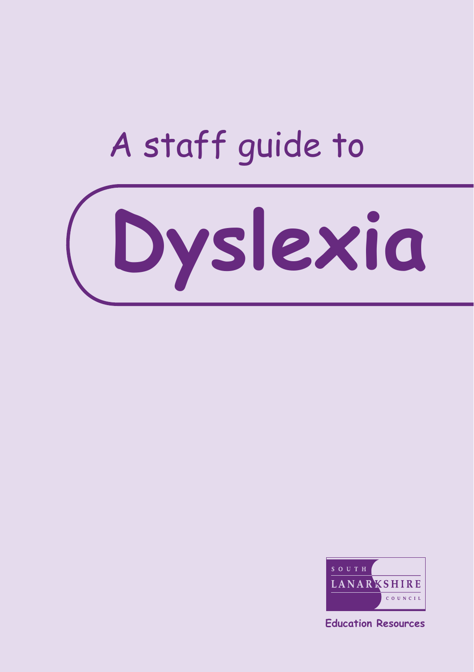# A staff guide to





**Education Resources**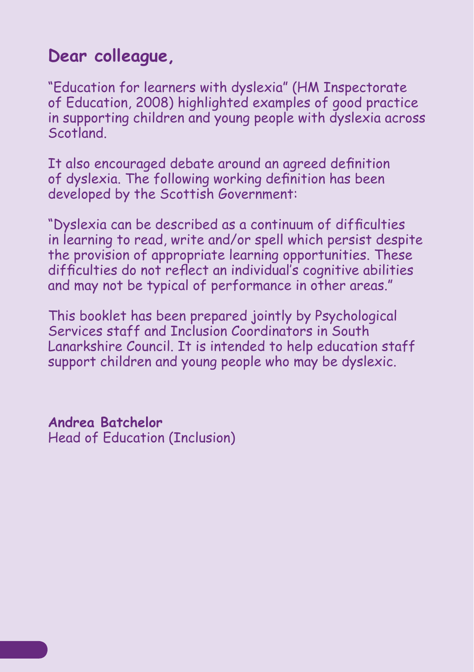#### **Dear colleague,**

"Education for learners with dyslexia" (HM Inspectorate of Education, 2008) highlighted examples of good practice in supporting children and young people with dyslexia across Scotland.

It also encouraged debate around an agreed definition of dyslexia. The following working definition has been developed by the Scottish Government:

"Dyslexia can be described as a continuum of difficulties in learning to read, write and/or spell which persist despite the provision of appropriate learning opportunities. These difficulties do not reflect an individual's cognitive abilities and may not be typical of performance in other areas."

This booklet has been prepared jointly by Psychological Services staff and Inclusion Coordinators in South Lanarkshire Council. It is intended to help education staff support children and young people who may be dyslexic.

**Andrea Batchelor** Head of Education (Inclusion)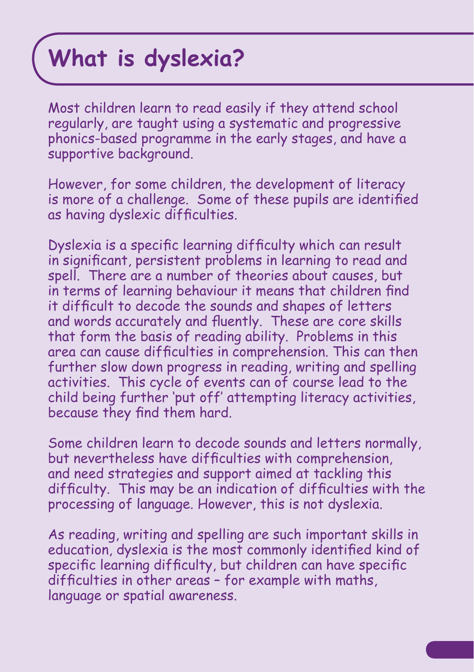# **What is dyslexia?**

Most children learn to read easily if they attend school regularly, are taught using a systematic and progressive phonics-based programme in the early stages, and have a supportive background.

However, for some children, the development of literacy is more of a challenge. Some of these pupils are identified as having dyslexic difficulties.

Dyslexia is a specific learning difficulty which can result in significant, persistent problems in learning to read and spell. There are a number of theories about causes, but in terms of learning behaviour it means that children find it difficult to decode the sounds and shapes of letters and words accurately and fluently. These are core skills that form the basis of reading ability. Problems in this area can cause difficulties in comprehension. This can then further slow down progress in reading, writing and spelling activities. This cycle of events can of course lead to the child being further 'put off' attempting literacy activities, because they find them hard.

Some children learn to decode sounds and letters normally, but nevertheless have difficulties with comprehension, and need strategies and support aimed at tackling this difficulty. This may be an indication of difficulties with the processing of language. However, this is not dyslexia.

As reading, writing and spelling are such important skills in education, dyslexia is the most commonly identified kind of specific learning difficulty, but children can have specific difficulties in other areas – for example with maths, language or spatial awareness.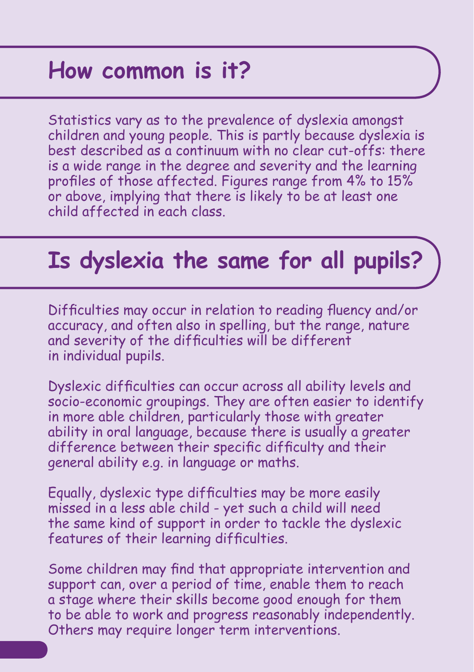# **How common is it?**

Statistics vary as to the prevalence of dyslexia amongst children and young people. This is partly because dyslexia is best described as a continuum with no clear cut-offs: there is a wide range in the degree and severity and the learning profiles of those affected. Figures range from 4% to 15% or above, implying that there is likely to be at least one child affected in each class.

# **Is dyslexia the same for all pupils?**

Difficulties may occur in relation to reading fluency and/or accuracy, and often also in spelling, but the range, nature and severity of the difficulties will be different in individual pupils.

Dyslexic difficulties can occur across all ability levels and socio-economic groupings. They are often easier to identify in more able children, particularly those with greater ability in oral language, because there is usually a greater difference between their specific difficulty and their general ability e.g. in language or maths.

Equally, dyslexic type difficulties may be more easily missed in a less able child - yet such a child will need the same kind of support in order to tackle the dyslexic features of their learning difficulties.

Some children may find that appropriate intervention and support can, over a period of time, enable them to reach a stage where their skills become good enough for them to be able to work and progress reasonably independently. Others may require longer term interventions.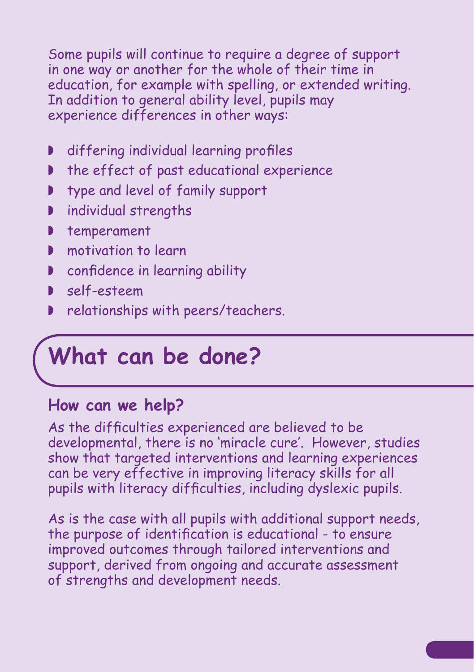Some pupils will continue to require a degree of support in one way or another for the whole of their time in education, for example with spelling, or extended writing. In addition to general ability level, pupils may experience differences in other ways:

- ◗ differing individual learning profiles
- ◗ the effect of past educational experience
- type and level of family support
- ◗ individual strengths
- ◗ temperament
- **▶ motivation to learn**
- ◗ confidence in learning ability
- ◗ self-esteem
- ◗ relationships with peers/teachers.

# **What can be done?**

#### **How can we help?**

As the difficulties experienced are believed to be developmental, there is no 'miracle cure'. However, studies show that targeted interventions and learning experiences can be very effective in improving literacy skills for all pupils with literacy difficulties, including dyslexic pupils.

As is the case with all pupils with additional support needs, the purpose of identification is educational - to ensure improved outcomes through tailored interventions and support, derived from ongoing and accurate assessment of strengths and development needs.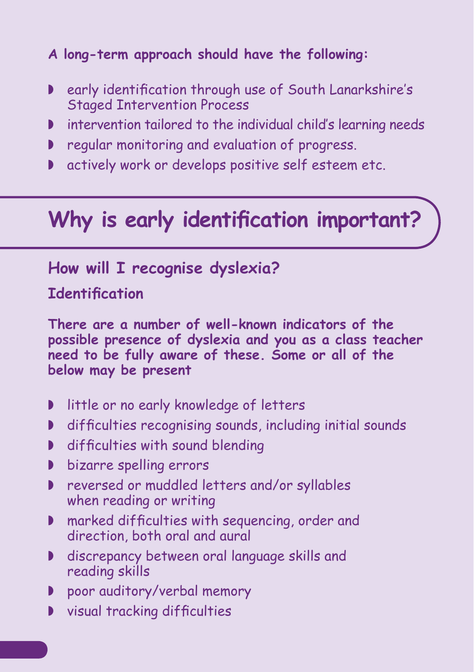#### **A long-term approach should have the following:**

- ◗ early identification through use of South Lanarkshire's Staged Intervention Process
- ◗ intervention tailored to the individual child's learning needs
- ◗ regular monitoring and evaluation of progress.
- ◗ actively work or develops positive self esteem etc.

## **Why is early identification important?**

#### **How will I recognise dyslexia?**

#### **Identification**

**There are a number of well-known indicators of the possible presence of dyslexia and you as a class teacher need to be fully aware of these. Some or all of the below may be present**

- ◗ little or no early knowledge of letters
- ◗ difficulties recognising sounds, including initial sounds
- ◗ difficulties with sound blending
- ◗ bizarre spelling errors
- ◗ reversed or muddled letters and/or syllables when reading or writing
- ◗ marked difficulties with sequencing, order and direction, both oral and aural
- ◗ discrepancy between oral language skills and reading skills
- ◗ poor auditory/verbal memory
- ◗ visual tracking difficulties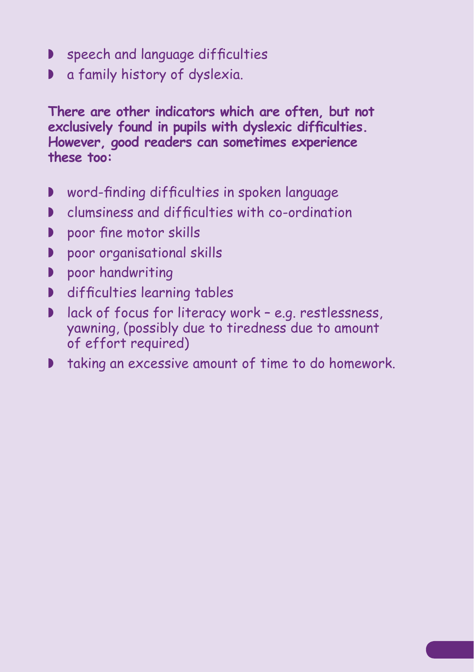- ◗ speech and language difficulties
- ◗ a family history of dyslexia.

**There are other indicators which are often, but not exclusively found in pupils with dyslexic difficulties. However, good readers can sometimes experience these too:**

- ◗ word-finding difficulties in spoken language
- ◗ clumsiness and difficulties with co-ordination
- ◗ poor fine motor skills
- ◗ poor organisational skills
- ◗ poor handwriting
- ◗ difficulties learning tables
- ◗ lack of focus for literacy work e.g. restlessness, yawning, (possibly due to tiredness due to amount of effort required)
- ◗ taking an excessive amount of time to do homework.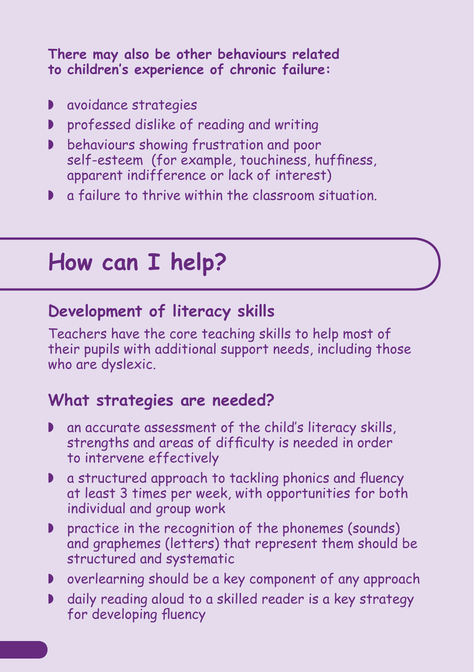#### **There may also be other behaviours related to children's experience of chronic failure:**

- ◗ avoidance strategies
- ◗ professed dislike of reading and writing
- ◗ behaviours showing frustration and poor self-esteem (for example, touchiness, huffiness, apparent indifference or lack of interest)
- ◗ a failure to thrive within the classroom situation.

# **How can I help?**

#### **Development of literacy skills**

Teachers have the core teaching skills to help most of their pupils with additional support needs, including those who are dyslexic.

#### **What strategies are needed?**

- ◗ an accurate assessment of the child's literacy skills, strengths and areas of difficulty is needed in order to intervene effectively
- ◗ a structured approach to tackling phonics and fluency at least 3 times per week, with opportunities for both individual and group work
- ◗ practice in the recognition of the phonemes (sounds) and graphemes (letters) that represent them should be structured and systematic
- ◗ overlearning should be a key component of any approach
- ◗ daily reading aloud to a skilled reader is a key strategy for developing fluency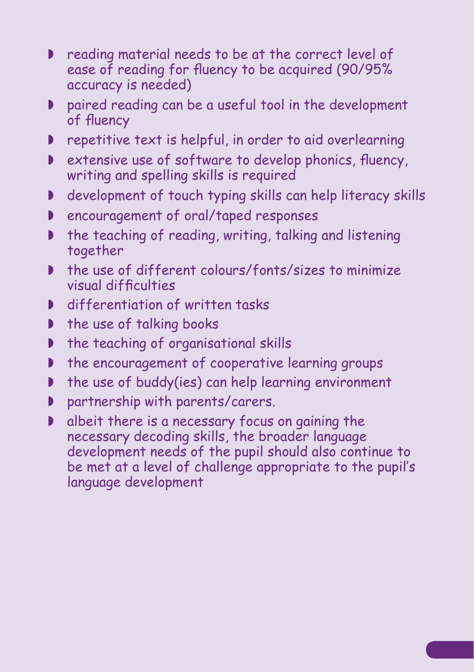- ◗ reading material needs to be at the correct level of ease of reading for fluency to be acquired (90/95% accuracy is needed)
- ◗ paired reading can be a useful tool in the development of fluency
- ◗ repetitive text is helpful, in order to aid overlearning
- ◗ extensive use of software to develop phonics, fluency, writing and spelling skills is required
- ◗ development of touch typing skills can help literacy skills
- ◗ encouragement of oral/taped responses
- ◗ the teaching of reading, writing, talking and listening together
- ◗ the use of different colours/fonts/sizes to minimize visual difficulties
- ◗ differentiation of written tasks
- the use of talking books
- ◗ the teaching of organisational skills
- ◗ the encouragement of cooperative learning groups
- ◗ the use of buddy(ies) can help learning environment
- ◗ partnership with parents/carers.
- ◗ albeit there is a necessary focus on gaining the necessary decoding skills, the broader language development needs of the pupil should also continue to be met at a level of challenge appropriate to the pupil's language development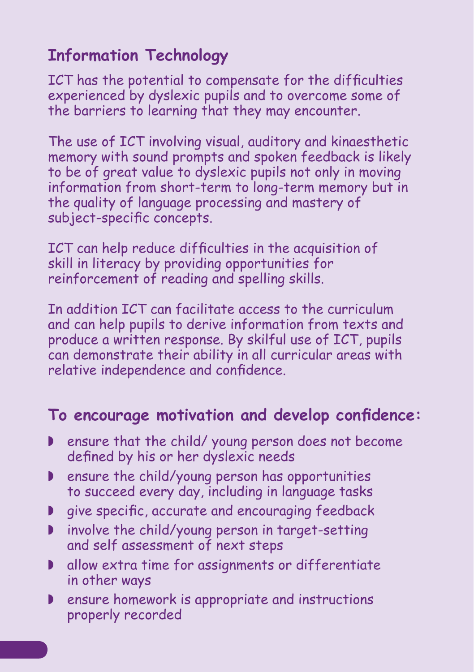### **Information Technology**

ICT has the potential to compensate for the difficulties experienced by dyslexic pupils and to overcome some of the barriers to learning that they may encounter.

The use of ICT involving visual, auditory and kinaesthetic memory with sound prompts and spoken feedback is likely to be of great value to dyslexic pupils not only in moving information from short-term to long-term memory but in the quality of language processing and mastery of subject-specific concepts.

ICT can help reduce difficulties in the acquisition of skill in literacy by providing opportunities for reinforcement of reading and spelling skills.

In addition ICT can facilitate access to the curriculum and can help pupils to derive information from texts and produce a written response. By skilful use of ICT, pupils can demonstrate their ability in all curricular areas with relative independence and confidence.

#### **To encourage motivation and develop confidence:**

- ensure that the child/ young person does not become defined by his or her dyslexic needs
- ◗ ensure the child/young person has opportunities to succeed every day, including in language tasks
- ◗ give specific, accurate and encouraging feedback
- ◗ involve the child/young person in target-setting and self assessment of next steps
- ◗ allow extra time for assignments or differentiate in other ways
- ◗ ensure homework is appropriate and instructions properly recorded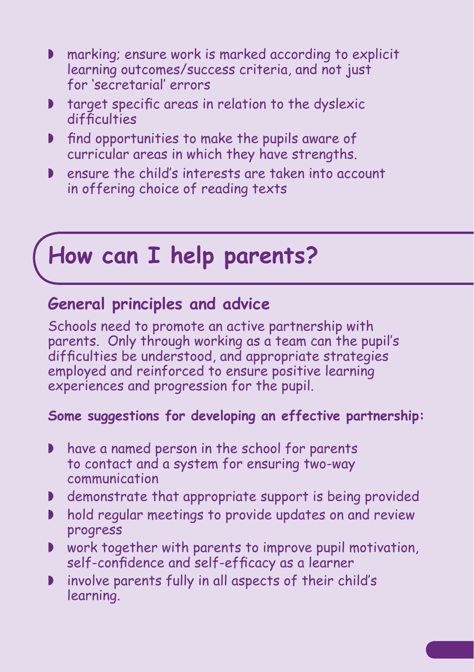- ◗ marking; ensure work is marked according to explicit learning outcomes/success criteria, and not just for 'secretarial' errors
- ◗ target specific areas in relation to the dyslexic difficulties
- ◗ find opportunities to make the pupils aware of curricular areas in which they have strengths.
- ◗ ensure the child's interests are taken into account in offering choice of reading texts

# **How can I help parents?**

#### **General principles and advice**

Schools need to promote an active partnership with parents. Only through working as a team can the pupil's difficulties be understood, and appropriate strategies employed and reinforced to ensure positive learning experiences and progression for the pupil.

#### **Some suggestions for developing an effective partnership:**

- ◗ have a named person in the school for parents to contact and a system for ensuring two-way communication
- ◗ demonstrate that appropriate support is being provided
- ◗ hold regular meetings to provide updates on and review progress
- ◗ work together with parents to improve pupil motivation, self-confidence and self-efficacy as a learner
- ◗ involve parents fully in all aspects of their child's learning.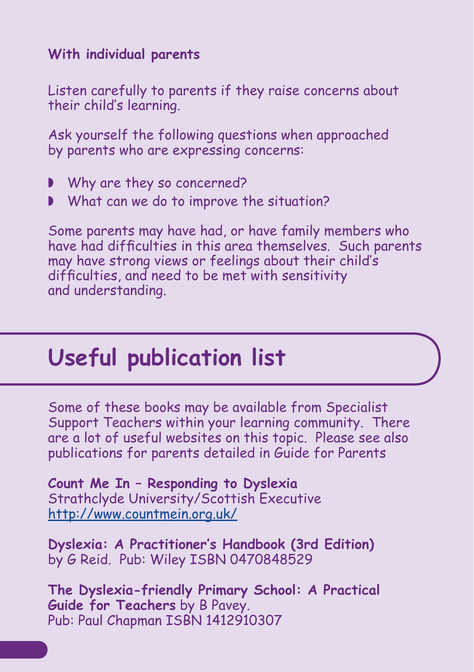#### **With individual parents**

Listen carefully to parents if they raise concerns about their child's learning.

Ask yourself the following questions when approached by parents who are expressing concerns:

- ◗ Why are they so concerned?
- ◗ What can we do to improve the situation?

Some parents may have had, or have family members who have had difficulties in this area themselves. Such parents may have strong views or feelings about their child's difficulties, and need to be met with sensitivity and understanding.

# **Useful publication list**

Some of these books may be available from Specialist Support Teachers within your learning community. There are a lot of useful websites on this topic. Please see also publications for parents detailed in Guide for Parents

**Count Me In – Responding to Dyslexia**  Strathclyde University/Scottish Executive <http://www.countmein.org.uk/>

**Dyslexia: A Practitioner's Handbook (3rd Edition)**  by G Reid. Pub: Wiley ISBN 0470848529

**The Dyslexia-friendly Primary School: A Practical Guide for Teachers** by B Pavey. Pub: Paul Chapman ISBN 1412910307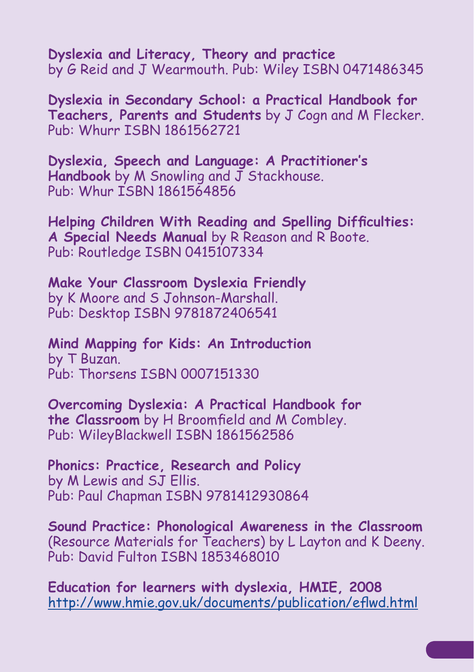**Dyslexia and Literacy, Theory and practice**  by G Reid and J Wearmouth. Pub: Wiley ISBN 0471486345

**Dyslexia in Secondary School: a Practical Handbook for Teachers, Parents and Students** by J Cogn and M Flecker. Pub: Whurr ISBN 1861562721

**Dyslexia, Speech and Language: A Practitioner's Handbook** by M Snowling and J Stackhouse. Pub: Whur ISBN 1861564856

**Helping Children With Reading and Spelling Difficulties: A Special Needs Manual** by R Reason and R Boote. Pub: Routledge ISBN 0415107334

**Make Your Classroom Dyslexia Friendly**  by K Moore and S Johnson-Marshall. Pub: Desktop ISBN 9781872406541

**Mind Mapping for Kids: An Introduction** by T Buzan. Pub: Thorsens ISBN 0007151330

**Overcoming Dyslexia: A Practical Handbook for the Classroom** by H Broomfield and M Combley. Pub: WileyBlackwell ISBN 1861562586

**Phonics: Practice, Research and Policy** by M Lewis and SJ Ellis. Pub: Paul Chapman ISBN 9781412930864

**Sound Practice: Phonological Awareness in the Classroom** (Resource Materials for Teachers) by L Layton and K Deeny. Pub: David Fulton ISBN 1853468010

**Education for learners with dyslexia, HMIE, 2008**  <http://www.hmie.gov.uk/documents/publication/eflwd.html>